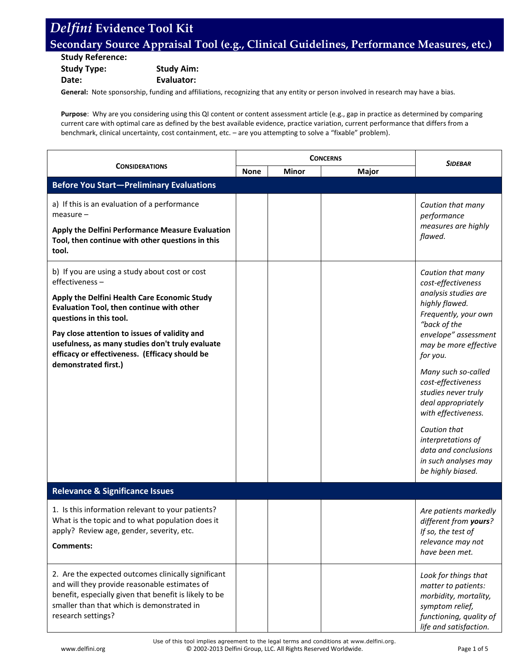## **Secondary Source Appraisal Tool (e.g., Clinical Guidelines, Performance Measures, etc.)**

**Study Reference: Study Type: Study Aim: Date: Evaluator:**

**General:** Note sponsorship, funding and affiliations, recognizing that any entity or person involved in research may have a bias.

**Purpose**: Why are you considering using this QI content or content assessment article (e.g., gap in practice as determined by comparing current care with optimal care as defined by the best available evidence, practice variation, current performance that differs from a benchmark, clinical uncertainty, cost containment, etc. – are you attempting to solve a "fixable" problem).

| <b>CONSIDERATIONS</b>                                                                                                                                                                                                              | <b>CONCERNS</b> |              |              | <b>SIDEBAR</b>                                                                                                                               |
|------------------------------------------------------------------------------------------------------------------------------------------------------------------------------------------------------------------------------------|-----------------|--------------|--------------|----------------------------------------------------------------------------------------------------------------------------------------------|
|                                                                                                                                                                                                                                    | <b>None</b>     | <b>Minor</b> | <b>Major</b> |                                                                                                                                              |
| <b>Before You Start-Preliminary Evaluations</b>                                                                                                                                                                                    |                 |              |              |                                                                                                                                              |
| a) If this is an evaluation of a performance<br>$measure -$<br>Apply the Delfini Performance Measure Evaluation                                                                                                                    |                 |              |              | Caution that many<br>performance<br>measures are highly                                                                                      |
| Tool, then continue with other questions in this<br>tool.                                                                                                                                                                          |                 |              |              | flawed.                                                                                                                                      |
| b) If you are using a study about cost or cost<br>effectiveness-                                                                                                                                                                   |                 |              |              | Caution that many<br>cost-effectiveness                                                                                                      |
| Apply the Delfini Health Care Economic Study<br>Evaluation Tool, then continue with other<br>questions in this tool.                                                                                                               |                 |              |              | analysis studies are<br>highly flawed.<br>Frequently, your own<br>"back of the                                                               |
| Pay close attention to issues of validity and<br>usefulness, as many studies don't truly evaluate<br>efficacy or effectiveness. (Efficacy should be                                                                                |                 |              |              | envelope" assessment<br>may be more effective<br>for you.                                                                                    |
| demonstrated first.)                                                                                                                                                                                                               |                 |              |              | Many such so-called<br>cost-effectiveness<br>studies never truly<br>deal appropriately<br>with effectiveness.                                |
|                                                                                                                                                                                                                                    |                 |              |              | Caution that<br>interpretations of<br>data and conclusions<br>in such analyses may<br>be highly biased.                                      |
| <b>Relevance &amp; Significance Issues</b>                                                                                                                                                                                         |                 |              |              |                                                                                                                                              |
| 1. Is this information relevant to your patients?<br>What is the topic and to what population does it<br>apply? Review age, gender, severity, etc.<br><b>Comments:</b>                                                             |                 |              |              | Are patients markedly<br>different from yours?<br>If so, the test of<br>relevance may not                                                    |
|                                                                                                                                                                                                                                    |                 |              |              | have been met.                                                                                                                               |
| 2. Are the expected outcomes clinically significant<br>and will they provide reasonable estimates of<br>benefit, especially given that benefit is likely to be<br>smaller than that which is demonstrated in<br>research settings? |                 |              |              | Look for things that<br>matter to patients:<br>morbidity, mortality,<br>symptom relief,<br>functioning, quality of<br>life and satisfaction. |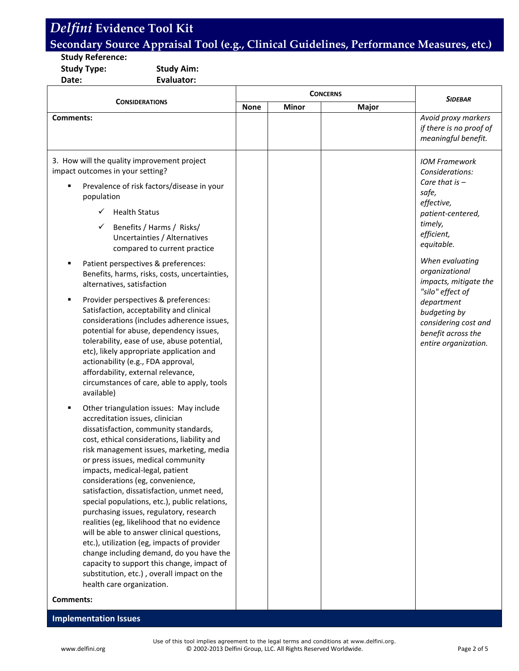### **Secondary Source Appraisal Tool (e.g., Clinical Guidelines, Performance Measures, etc.)**

#### **Study Reference:**

**Study Type: Study Aim: Date: Evaluator:**

| <b>CONSIDERATIONS</b>                                                                                                                                                                                                                                                                                                                                                                                                                                                                                                                                                                                                                                                                                                                                                                                                  | <b>CONCERNS</b> |              |       | <b>SIDEBAR</b>                                                                                                                                                                                                                                                                                                                       |
|------------------------------------------------------------------------------------------------------------------------------------------------------------------------------------------------------------------------------------------------------------------------------------------------------------------------------------------------------------------------------------------------------------------------------------------------------------------------------------------------------------------------------------------------------------------------------------------------------------------------------------------------------------------------------------------------------------------------------------------------------------------------------------------------------------------------|-----------------|--------------|-------|--------------------------------------------------------------------------------------------------------------------------------------------------------------------------------------------------------------------------------------------------------------------------------------------------------------------------------------|
|                                                                                                                                                                                                                                                                                                                                                                                                                                                                                                                                                                                                                                                                                                                                                                                                                        | <b>None</b>     | <b>Minor</b> | Major |                                                                                                                                                                                                                                                                                                                                      |
| <b>Comments:</b>                                                                                                                                                                                                                                                                                                                                                                                                                                                                                                                                                                                                                                                                                                                                                                                                       |                 |              |       | Avoid proxy markers<br>if there is no proof of<br>meaningful benefit.                                                                                                                                                                                                                                                                |
| 3. How will the quality improvement project<br>impact outcomes in your setting?<br>Prevalence of risk factors/disease in your<br>Е<br>population<br><b>Health Status</b><br>Benefits / Harms / Risks/<br>✓<br>Uncertainties / Alternatives<br>compared to current practice<br>Patient perspectives & preferences:<br>Benefits, harms, risks, costs, uncertainties,<br>alternatives, satisfaction<br>Provider perspectives & preferences:<br>в<br>Satisfaction, acceptability and clinical<br>considerations (includes adherence issues,<br>potential for abuse, dependency issues,<br>tolerability, ease of use, abuse potential,<br>etc), likely appropriate application and<br>actionability (e.g., FDA approval,<br>affordability, external relevance,<br>circumstances of care, able to apply, tools<br>available) |                 |              |       | <b>IOM Framework</b><br>Considerations:<br>Care that is $-$<br>safe,<br>effective,<br>patient-centered,<br>timely,<br>efficient,<br>equitable.<br>When evaluating<br>organizational<br>impacts, mitigate the<br>"silo" effect of<br>department<br>budgeting by<br>considering cost and<br>benefit across the<br>entire organization. |
| Other triangulation issues: May include<br>٠<br>accreditation issues, clinician<br>dissatisfaction, community standards,<br>cost, ethical considerations, liability and<br>risk management issues, marketing, media<br>or press issues, medical community<br>impacts, medical-legal, patient<br>considerations (eg, convenience,<br>satisfaction, dissatisfaction, unmet need,<br>special populations, etc.), public relations,<br>purchasing issues, regulatory, research<br>realities (eg, likelihood that no evidence<br>will be able to answer clinical questions,<br>etc.), utilization (eg, impacts of provider<br>change including demand, do you have the<br>capacity to support this change, impact of<br>substitution, etc.), overall impact on the<br>health care organization.<br><b>Comments:</b>         |                 |              |       |                                                                                                                                                                                                                                                                                                                                      |

#### **Implementation Issues**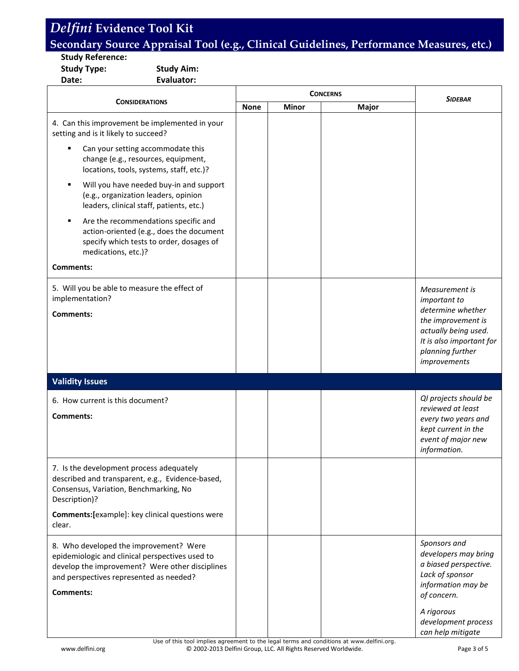### **Secondary Source Appraisal Tool (e.g., Clinical Guidelines, Performance Measures, etc.)**

#### **Study Reference:**

**Study Type: Study Aim:**

**Date: Evaluator:**

|                                                                                                                                                                                                             |             | <b>CONCERNS</b> | SIDEBAR |                                                                                                                                     |
|-------------------------------------------------------------------------------------------------------------------------------------------------------------------------------------------------------------|-------------|-----------------|---------|-------------------------------------------------------------------------------------------------------------------------------------|
| <b>CONSIDERATIONS</b>                                                                                                                                                                                       | <b>None</b> | <b>Minor</b>    | Major   |                                                                                                                                     |
| 4. Can this improvement be implemented in your<br>setting and is it likely to succeed?                                                                                                                      |             |                 |         |                                                                                                                                     |
| Can your setting accommodate this<br>٠<br>change (e.g., resources, equipment,<br>locations, tools, systems, staff, etc.)?                                                                                   |             |                 |         |                                                                                                                                     |
| Will you have needed buy-in and support<br>٠<br>(e.g., organization leaders, opinion<br>leaders, clinical staff, patients, etc.)                                                                            |             |                 |         |                                                                                                                                     |
| Are the recommendations specific and<br>٠<br>action-oriented (e.g., does the document<br>specify which tests to order, dosages of<br>medications, etc.)?                                                    |             |                 |         |                                                                                                                                     |
| <b>Comments:</b>                                                                                                                                                                                            |             |                 |         |                                                                                                                                     |
| 5. Will you be able to measure the effect of<br>implementation?                                                                                                                                             |             |                 |         | Measurement is<br>important to<br>determine whether                                                                                 |
| <b>Comments:</b>                                                                                                                                                                                            |             |                 |         | the improvement is<br>actually being used.<br>It is also important for<br>planning further<br>improvements                          |
| <b>Validity Issues</b>                                                                                                                                                                                      |             |                 |         |                                                                                                                                     |
| 6. How current is this document?<br>Comments:                                                                                                                                                               |             |                 |         | QI projects should be<br>reviewed at least<br>every two years and<br>kept current in the<br>event of major new<br>information.      |
| 7. Is the development process adequately<br>described and transparent, e.g., Evidence-based,<br>Consensus, Variation, Benchmarking, No<br>Description)?                                                     |             |                 |         |                                                                                                                                     |
| Comments: [example]: key clinical questions were<br>clear.                                                                                                                                                  |             |                 |         |                                                                                                                                     |
| 8. Who developed the improvement? Were<br>epidemiologic and clinical perspectives used to<br>develop the improvement? Were other disciplines<br>and perspectives represented as needed?<br><b>Comments:</b> |             |                 |         | Sponsors and<br>developers may bring<br>a biased perspective.<br>Lack of sponsor<br>information may be<br>of concern.<br>A rigorous |
|                                                                                                                                                                                                             |             |                 |         | development process<br>can help mitigate                                                                                            |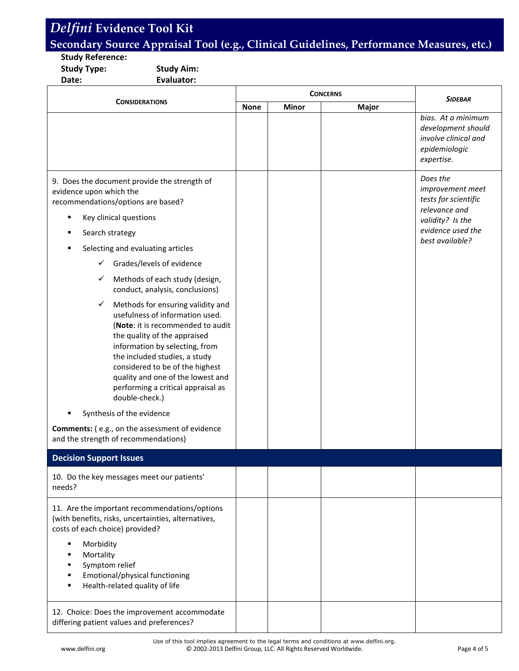### **Secondary Source Appraisal Tool (e.g., Clinical Guidelines, Performance Measures, etc.)**

#### **Study Reference:**

**Study Type: Study Aim:**

**Date: Evaluator:**

|                                                                                                                                                                                                                                                                                                                                                                                                                                                                                                                                                                                                                                                                                                                                                                                                                                                |             |              | <b>CONCERNS</b> | <b>SIDEBAR</b>                                                                                                                    |
|------------------------------------------------------------------------------------------------------------------------------------------------------------------------------------------------------------------------------------------------------------------------------------------------------------------------------------------------------------------------------------------------------------------------------------------------------------------------------------------------------------------------------------------------------------------------------------------------------------------------------------------------------------------------------------------------------------------------------------------------------------------------------------------------------------------------------------------------|-------------|--------------|-----------------|-----------------------------------------------------------------------------------------------------------------------------------|
| <b>CONSIDERATIONS</b>                                                                                                                                                                                                                                                                                                                                                                                                                                                                                                                                                                                                                                                                                                                                                                                                                          | <b>None</b> | <b>Minor</b> | Major           |                                                                                                                                   |
|                                                                                                                                                                                                                                                                                                                                                                                                                                                                                                                                                                                                                                                                                                                                                                                                                                                |             |              |                 | bias. At a minimum<br>development should<br>involve clinical and<br>epidemiologic<br>expertise.                                   |
| 9. Does the document provide the strength of<br>evidence upon which the<br>recommendations/options are based?<br>Key clinical questions<br>٠<br>Search strategy<br>٠<br>Selecting and evaluating articles<br>п<br>Grades/levels of evidence<br>$\checkmark$<br>Methods of each study (design,<br>$\checkmark$<br>conduct, analysis, conclusions)<br>Methods for ensuring validity and<br>$\checkmark$<br>usefulness of information used.<br>(Note: it is recommended to audit<br>the quality of the appraised<br>information by selecting, from<br>the included studies, a study<br>considered to be of the highest<br>quality and one of the lowest and<br>performing a critical appraisal as<br>double-check.)<br>Synthesis of the evidence<br><b>Comments:</b> (e.g., on the assessment of evidence<br>and the strength of recommendations) |             |              |                 | Does the<br>improvement meet<br>tests for scientific<br>relevance and<br>validity? Is the<br>evidence used the<br>best available? |
| <b>Decision Support Issues</b>                                                                                                                                                                                                                                                                                                                                                                                                                                                                                                                                                                                                                                                                                                                                                                                                                 |             |              |                 |                                                                                                                                   |
| 10. Do the key messages meet our patients'<br>needs?                                                                                                                                                                                                                                                                                                                                                                                                                                                                                                                                                                                                                                                                                                                                                                                           |             |              |                 |                                                                                                                                   |
| 11. Are the important recommendations/options<br>(with benefits, risks, uncertainties, alternatives,<br>costs of each choice) provided?<br>Morbidity<br>٠<br>Mortality<br>Symptom relief<br>Emotional/physical functioning<br>Health-related quality of life                                                                                                                                                                                                                                                                                                                                                                                                                                                                                                                                                                                   |             |              |                 |                                                                                                                                   |
| 12. Choice: Does the improvement accommodate<br>differing patient values and preferences?                                                                                                                                                                                                                                                                                                                                                                                                                                                                                                                                                                                                                                                                                                                                                      |             |              |                 |                                                                                                                                   |